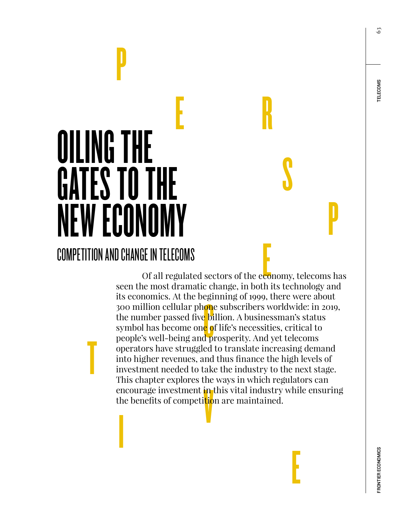### **TELECOMS**

63

## E R OILING THE GATES TO THE NEW ECONOMY COMPETITION AND CHANGE IN TELECOMS

T

P

#### E cgi<br>on<br>chi<br>co<br>dp encourage investment in this vital industry while ensuring<br>the benefits of competition are maintained. Of all regulated sectors of the economy, telecoms has seen the most dramatic change, in both its technology and its economics. At the beginning of 1999, there were about 300 million cellular ph<mark>on</mark>e subscribers worldwide: in 2019, the number passed five billion. A businessman's status symbol has become one of life's necessities, critical to people's well-being and prosperity. And yet telecoms operators have struggled to translate increasing demand into higher revenues, and thus finance the high levels of investment needed to take the industry to the next stage. This chapter explores the ways in which regulators can the benefits of competition are maintained.

E

**S** 

P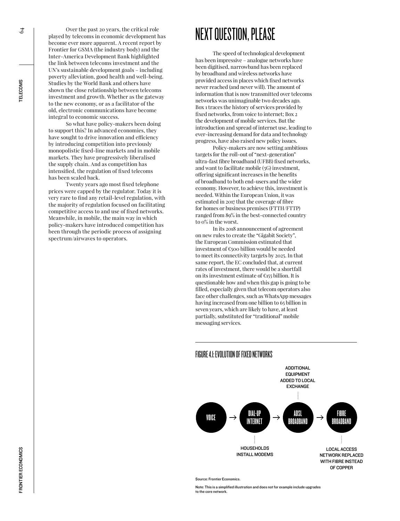Over the past 20 years, the critical role played by telecoms in economic development has become ever more apparent. A recent report by Frontier for GSMA (the industry body) and the Inter-America Development Bank highlighted the link between telecoms investment and the UN's sustainable development goals – including poverty alleviation, good health and well-being. Studies by the World Bank and others have shown the close relationship between telecoms investment and growth. Whether as the gateway to the new economy, or as a facilitator of the old, electronic communications have become integral to economic success.

So what have policy-makers been doing to support this? In advanced economies, they have sought to drive innovation and efficiency by introducing competition into previously monopolistic fixed-line markets and in mobile markets. They have progressively liberalised the supply chain. And as competition has intensified, the regulation of fixed telecoms has been scaled back.

Twenty years ago most fixed telephone prices were capped by the regulator. Today it is very rare to find any retail-level regulation, with the majority of regulation focused on facilitating competitive access to and use of fixed networks. Meanwhile, in mobile, the main way in which policy-makers have introduced competition has been through the periodic process of assigning spectrum/airwaves to operators.

#### NEXT QUESTION, PLEASE

The speed of technological development has been impressive – analogue networks have been digitised, narrowband has been replaced by broadband and wireless networks have provided access in places which fixed networks never reached (and never will). The amount of information that is now transmitted over telecoms networks was unimaginable two decades ago. Box 1 traces the history of services provided by fixed networks, from voice to internet; Box 2 the development of mobile services. But the introduction and spread of internet use, leading to ever-increasing demand for data and technology progress, have also raised new policy issues.

Policy-makers are now setting ambitious targets for the roll-out of "next-generation" ultra-fast fibre broadband (UFBB) fixed networks, and want to facilitate mobile (5G) investment, offering significant increases in the benefits of broadband to both end-users and the wider economy. However, to achieve this, investment is needed. Within the European Union, it was estimated in 2017 that the coverage of fibre for homes or business premises (FTTH/FTTP) ranged from 89% in the best-connected country to 0% in the worst.

In its 2018 announcement of agreement on new rules to create the "Gigabit Society", the European Commission estimated that investment of €500 billion would be needed to meet its connectivity targets by 2025. In that same report, the EC concluded that, at current rates of investment, there would be a shortfall on its investment estimate of  $\epsilon_{155}$  billion. It is questionable how and when this gap is going to be filled, especially given that telecom operators also face other challenges, such as WhatsApp messages having increased from one billion to 65 billion in seven years, which are likely to have, at least partially, substituted for "traditional" mobile messaging services.



#### FIGURE 4.1: EVOLUTION OF FIXED NETWORKS

ource: Frontier Econo

Note: This is a simplified illustration and does not for example include upgrades to the core network.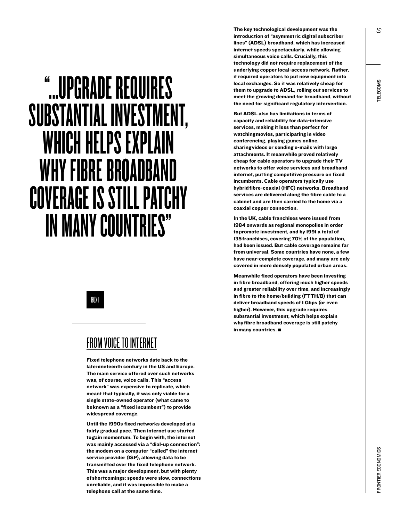## "...UPGRADE REQUIRES SUBSTANTIAL INVESTMENT, WHICH HELPS EXPLAIN WHY FIBRE BROADBAND COVERAGE IS STILL PATCHY IN MANY COUNTRIES"

BOX 1

#### FROM VOICE TO INTERNET

Fixed telephone networks date back to the late nineteenth century in the US and Europe. The main service offered over such networks was, of course, voice calls. This "access network" was expensive to replicate, which meant that typically, it was only viable for a single state-owned operator (what came to be known as a "fixed incumbent") to provide widespread coverage.

Until the 1990s fixed networks developed at a fairly gradual pace. Then internet use started to gain momentum. To begin with, the internet was mainly accessed via a "dial-up connection": the modem on a computer "called" the internet service provider (ISP), allowing data to be transmitted over the fixed telephone network. This was a major development, but with plenty of shortcomings: speeds were slow, connections unreliable, and it was impossible to make a telephone call at the same time.

The key technological development was the introduction of "asymmetric digital subscriber lines" (ADSL) broadband, which has increased internet speeds spectacularly, while allowing simultaneous voice calls. Crucially, this technology did not require replacement of the underlying copper local-access network. Rather, it required operators to put new equipment into local exchanges. So it was relatively cheap for them to upgrade to ADSL, rolling out services to meet the growing demand for broadband, without the need for significant regulatory intervention.

But ADSL also has limitations in terms of capacity and reliability for data-intensive services, making it less than perfect for watching movies, participating in video conferencing, playing games online, sharing videos or sending e-mails with large attachments. It meanwhile proved relatively cheap for cable operators to upgrade their TV networks to offer voice services and broadband internet, putting competitive pressure on fixed incumbents. Cable operators typically use hybrid fibre-coaxial (HFC) networks. Broadband services are delivered along the fibre cable to a cabinet and are then carried to the home via a coaxial copper connection.

In the UK, cable franchises were issued from 1984 onwards as regional monopolies in order to promote investment, and by 1991 a total of 135 franchises, covering 70% of the population, had been issued. But cable coverage remains far from universal. Some countries have none, a few have near-complete coverage, and many are only covered in more densely populated urban areas.

Meanwhile fixed operators have been investing in fibre broadband, offering much higher speeds and greater reliability over time, and increasingly in fibre to the home/building (FTTH/B) that can deliver broadband speeds of 1 Gbps (or even higher). However, this upgrade requires substantial investment, which helps explain why fibre broadband coverage is still patchy in many countries.

65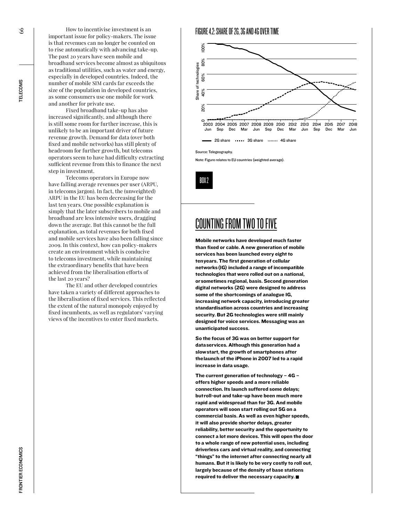How to incentivise investment is an important issue for policy-makers. The issue is that revenues can no longer be counted on to rise automatically with advancing take-up. The past 20 years have seen mobile and broadband services become almost as ubiquitous as traditional utilities, such as water and energy, especially in developed countries. Indeed, the number of mobile SIM cards far exceeds the size of the population in developed countries, as some consumers use one mobile for work and another for private use.

Fixed broadband take-up has also increased significantly, and although there is still some room for further increase, this is unlikely to be an important driver of future revenue growth. Demand for data (over both fixed and mobile networks) has still plenty of headroom for further growth, but telecoms operators seem to have had difficulty extracting sufficient revenue from this to finance the next step in investment.

Telecoms operators in Europe now have falling average revenues per user (ARPU, in telecoms jargon). In fact, the (unweighted) ARPU in the EU has been decreasing for the last ten years. One possible explanation is simply that the later subscribers to mobile and broadband are less intensive users, dragging down the average. But this cannot be the full explanation, as total revenues for both fixed and mobile services have also been falling since 2009. In this context, how can policy-makers create an environment which is conducive to telecoms investment, while maintaining the extraordinary benefits that have been achieved from the liberalisation efforts of the last 20 years?

The EU and other developed countries have taken a variety of different approaches to the liberalisation of fixed services. This reflected the extent of the natural monopoly enjoyed by fixed incumbents, as well as regulators' varying views of the incentives to enter fixed markets.



Note: Figure relates to EU countries (weighted average).

BOX 2

#### COUNTING FROM TWO TO FIVE

Mobile networks have developed much faster than fixed or cable. A new generation of mobile services has been launched every eight to ten years. The first generation of cellular networks (1G) included a range of incompatible technologies that were rolled out on a national, or sometimes regional, basis. Second generation digital networks (2G) were designed to address some of the shortcomings of analogue 1G, increasing network capacity, introducing greater standardisation across countries and increasing security. But 2G technologies were still mainly designed for voice services. Messaging was an unanticipated success.

So the focus of 3G was on better support for data services. Although this generation had a slow start, the growth of smartphones after the launch of the iPhone in 2007 led to a rapid increase in data usage.

The current generation of technology  $-4G$ offers higher speeds and a more reliable connection. Its launch suffered some delays; but roll-out and take-up have been much more rapid and widespread than for 3G. And mobile operators will soon start rolling out 5G on a commercial basis. As well as even higher speeds, it will also provide shorter delays, greater reliability, better security and the opportunity to connect a lot more devices. This will open the door to a whole range of new potential uses, including driverless cars and virtual reality, and connecting "things" to the internet after connecting nearly all humans. But it is likely to be very costly to roll out, largely because of the density of base stations required to deliver the necessary capacity.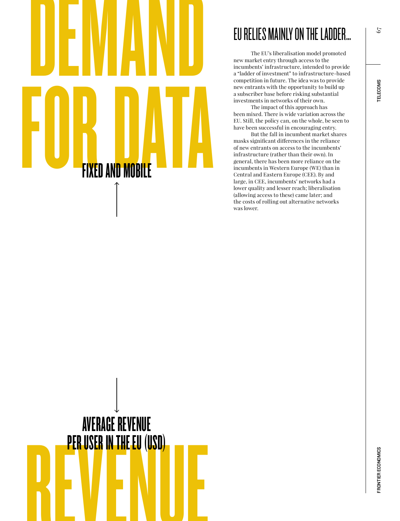# DEMAND FOR DATA FIXED AND MOBILE

#### EU RELIES MAINLY ON THE LADDER…

The EU's liberalisation model promoted new market entry through access to the incumbents' infrastructure, intended to provide a "ladder of investment" to infrastructure-based competition in future. The idea was to provide new entrants with the opportunity to build up a subscriber base before risking substantial investments in networks of their own.

The impact of this approach has been mixed. There is wide variation across the EU. Still, the policy can, on the whole, be seen to have been successful in encouraging entry.

But the fall in incumbent market shares masks significant differences in the reliance of new entrants on access to the incumbents' infrastructure (rather than their own). In general, there has been more reliance on the incumbents in Western Europe (WE) than in Central and Eastern Europe (CEE). By and large, in CEE, incumbents' networks had a lower quality and lesser reach; liberalisation (allowing access to these) came later; and the costs of rolling out alternative networks was lower.



67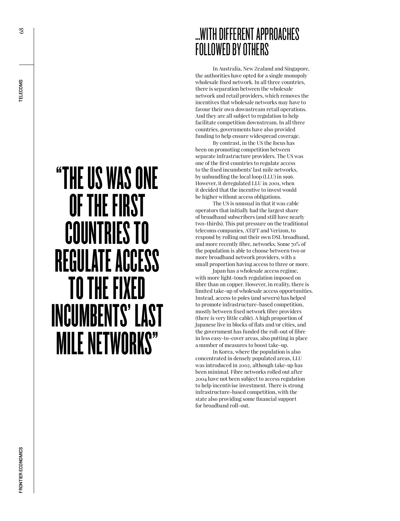$\frac{8}{2}$ 

## "THE US WAS ONE OF THE FIRST COUNTRIES TO REGULATE ACCESS TO THE FIXED INCUMBENTS' LAST MILE NETWORKS"

#### …WITH DIFFERENT APPROACHES FOLLOWED BY OTHERS

In Australia, New Zealand and Singapore, the authorities have opted for a single monopoly wholesale fixed network. In all three countries, there is separation between the wholesale network and retail providers, which removes the incentives that wholesale networks may have to favour their own downstream retail operations. And they are all subject to regulation to help facilitate competition downstream. In all three countries, governments have also provided funding to help ensure widespread coverage.

By contrast, in the US the focus has been on promoting competition between separate infrastructure providers. The US was one of the first countries to regulate access to the fixed incumbents' last mile networks, by unbundling the local loop (LLU) in 1996. However, it deregulated LLU in 2001, when it decided that the incentive to invest would be higher without access obligations.

The US is unusual in that it was cable operators that initially had the largest share of broadband subscribers (and still have nearly two-thirds). This put pressure on the traditional telecoms companies, AT&T and Verizon, to respond by rolling out their own DSL broadband, and more recently fibre, networks. Some 70% of the population is able to choose between two or more broadband network providers, with a small proportion having access to three or more.

Japan has a wholesale access regime, with more light-touch regulation imposed on fibre than on copper. However, in reality, there is limited take-up of wholesale access opportunities. Instead, access to poles (and sewers) has helped to promote infrastructure-based competition, mostly between fixed network fibre providers (there is very little cable). A high proportion of Japanese live in blocks of flats and/or cities, and the government has funded the roll-out of fibre in less easy-to-cover areas, also putting in place a number of measures to boost take-up.

In Korea, where the population is also concentrated in densely populated areas, LLU was introduced in 2002, although take-up has been minimal. Fibre networks rolled out after 2004 have not been subject to access regulation to help incentivise investment. There is strong infrastructure-based competition, with the state also providing some financial support for broadband roll-out.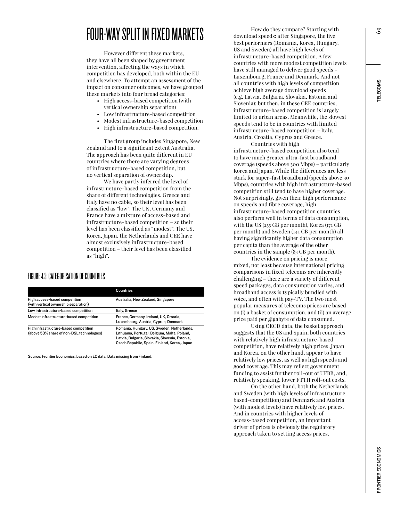#### FOUR-WAY SPLIT IN FIXED MARKETS

However different these markets, they have all been shaped by government intervention, affecting the ways in which competition has developed, both within the EU and elsewhere. To attempt an assessment of the impact on consumer outcomes, we have grouped these markets into four broad categories:

- High access-based competition (with vertical ownership separation)
- Low infrastructure-based competition
- Modest infrastructure-based competition
- High infrastructure-based competition.

The first group includes Singapore, New Zealand and to a significant extent Australia. The approach has been quite different in EU countries where there are varying degrees of infrastructure-based competition, but no vertical separation of ownership.

We have partly inferred the level of infrastructure-based competition from the share of different technologies. Greece and Italy have no cable, so their level has been classified as "low". The UK, Germany and France have a mixture of access-based and infrastructure-based competition – so their level has been classified as "modest". The US, Korea, Japan, the Netherlands and CEE have almost exclusively infrastructure-based competition – their level has been classified as "high".

#### FIGURE 4.3: CATEGORISATION OF COUNTRIES

|                                                                                    | <b>Countries</b>                                                                                                                                                                             |
|------------------------------------------------------------------------------------|----------------------------------------------------------------------------------------------------------------------------------------------------------------------------------------------|
| High access-based competition<br>(with vertical ownership separation)              | Australia, New Zealand, Singapore                                                                                                                                                            |
| Low infrastructure-based competition                                               | Italy, Greece                                                                                                                                                                                |
| Modest infrastructure-based competition                                            | France, Germany, Ireland, UK, Croatia,<br>Luxembourg, Austria, Cyprus, Denmark                                                                                                               |
| High infrastructure-based competition<br>(above 50% share of non-DSL technologies) | Romania, Hungary, US, Sweden, Netherlands,<br>Lithuania, Portugal, Belgium, Malta, Poland,<br>Latvia, Bulgaria, Slovakia, Slovenia, Estonia,<br>Czech Republic, Spain, Finland, Korea, Japan |

Source: Frontier Economics, based on EC data. Data missing from Finland.

How do they compare? Starting with download speeds: after Singapore, the five best performers (Romania, Korea, Hungary, US and Sweden) all have high levels of infrastructure-based competition. A few countries with more modest competition levels have still managed to deliver good speeds – Luxembourg, France and Denmark. And not all countries with high levels of competition achieve high average download speeds (e.g. Latvia, Bulgaria, Slovakia, Estonia and Slovenia); but then, in these CEE countries, infrastructure-based competition is largely limited to urban areas. Meanwhile, the slowest speeds tend to be in countries with limited infrastructure-based competition – Italy, Austria, Croatia, Cyprus and Greece.

Countries with high infrastructure-based competition also tend to have much greater ultra-fast broadband coverage (speeds above 300 Mbps) – particularly Korea and Japan. While the differences are less stark for super-fast broadband (speeds above 30 Mbps), countries with high infrastructure-based competition still tend to have higher coverage. Not surprisingly, given their high performance on speeds and fibre coverage, high infrastructure-based competition countries also perform well in terms of data consumption, with the US (255 GB per month), Korea (171 GB per month) and Sweden (141 GB per month) all having significantly higher data consumption per capita than the average of the other countries in the sample (83 GB per month).

The evidence on pricing is more mixed, not least because international pricing comparisons in fixed telecoms are inherently challenging – there are a variety of different speed packages, data consumption varies, and broadband access is typically bundled with voice, and often with pay-TV. The two most popular measures of telecoms prices are based on (i) a basket of consumption, and (ii) an average price paid per gigabyte of data consumed.

Using OECD data, the basket approach suggests that the US and Spain, both countries with relatively high infrastructure-based competition, have relatively high prices. Japan and Korea, on the other hand, appear to have relatively low prices, as well as high speeds and good coverage. This may reflect government funding to assist further roll-out of UFBB, and, relatively speaking, lower FTTH roll-out costs.

On the other hand, both the Netherlands and Sweden (with high levels of infrastructure based-competition) and Denmark and Austria (with modest levels) have relatively low prices. And in countries with higher levels of access-based competition, an important driver of prices is obviously the regulatory approach taken to setting access prices.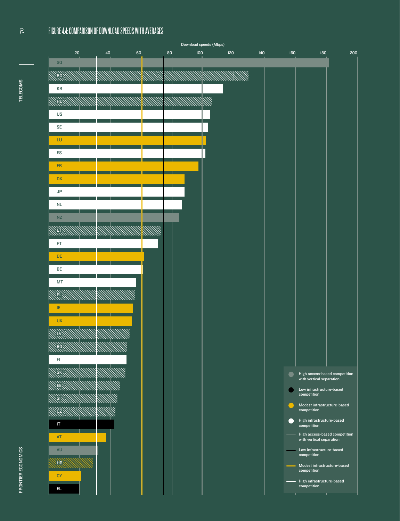#### FIGURE 4.4: COMPARISON OF DOWNLOAD SPEEDS WITH AVERAGES



 $\overline{C}$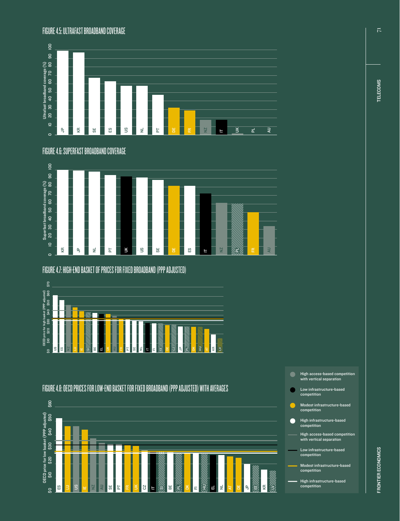#### FIGURE 4.5: ULTRAFAST BROADBAND COVERAGE



FIGURE 4.6: SUPERFAST BROADBAND COVERAGE



FIGURE 4.7: HIGH-END BASKET OF PRICES FOR FIXED BROADBAND (PPP ADJUSTED)



FIGURE 4.8: OECD PRICES FOR LOW-END BASKET FOR FIXED BROADBAND (PPP ADJUSTED) WITH AVERAGES



- High access-based competition with vertical separation
- Low infrastructure-based competition
- Modest infrastructure-based competition
- High infrastructure-based competition
- High access-based competition with vertical separation
- Low infrastructure-based competition
- Modest infrastructure-based competition
- High infrastructure-based competition

 $\overline{7}$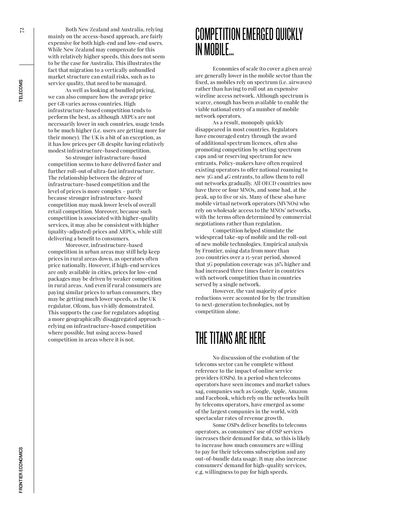Both New Zealand and Australia, relying mainly on the access-based approach, are fairly expensive for both high-end and low-end users. While New Zealand may compensate for this with relatively higher speeds, this does not seem to be the case for Australia. This illustrates the fact that migration to a vertically unbundled market structure can entail risks, such as to service quality, that need to be managed.

As well as looking at bundled pricing, we can also compare how the average price per GB varies across countries. High infrastructure-based competition tends to perform the best, as although ARPUs are not necessarily lower in such countries, usage tends to be much higher (i.e. users are getting more for their money). The UK is a bit of an exception, as it has low prices per GB despite having relatively modest infrastructure-based competition.

So stronger infrastructure-based competition seems to have delivered faster and further roll-out of ultra-fast infrastructure. The relationship between the degree of infrastructure-based competition and the level of prices is more complex – partly because stronger infrastructure-based competition may mask lower levels of overall retail competition. Moreover, because such competition is associated with higher-quality services, it may also be consistent with higher (quality-adjusted) prices and ARPUs, while still delivering a benefit to consumers.

Moreover, infrastructure-based competition in urban areas may still help keep prices in rural areas down, as operators often price nationally. However, if high-end services are only available in cities, prices for low-end packages may be driven by weaker competition in rural areas. And even if rural consumers are paying similar prices to urban consumers, they may be getting much lower speeds, as the UK regulator, Ofcom, has vividly demonstrated. This supports the case for regulators adopting a more geographically disaggregated approach – relying on infrastructure-based competition where possible, but using access-based competition in areas where it is not.

#### COMPETITION EMERGED QUICKLY IN MOBILE…

Economies of scale (to cover a given area) are generally lower in the mobile sector than the fixed, as mobiles rely on spectrum (i.e. airwaves) rather than having to roll out an expensive wireline access network. Although spectrum is scarce, enough has been available to enable the viable national entry of a number of mobile network operators.

As a result, monopoly quickly disappeared in most countries. Regulators have encouraged entry through the award of additional spectrum licences, often also promoting competition by setting spectrum caps and/or reserving spectrum for new entrants. Policy-makers have often required existing operators to offer national roaming to new 3G and 4G entrants, to allow them to roll out networks gradually. All OECD countries now have three or four MNOs, and some had, at the peak, up to five or six. Many of these also have mobile virtual network operators (MVNOs) who rely on wholesale access to the MNOs' networks, with the terms often determined by commercial negotiations rather than regulation.

Competition helped stimulate the widespread take-up of mobile and the roll-out of new mobile technologies. Empirical analysis by Frontier, using data from more than 200 countries over a 15-year period, showed that 3G population coverage was 36% higher and had increased three times faster in countries with network competition than in countries served by a single network.

However, the vast majority of price reductions were accounted for by the transition to next-generation technologies, not by competition alone.

#### THE TITANS ARE HERE

No discussion of the evolution of the telecoms sector can be complete without reference to the impact of online service providers (OSPs). In a period when telecoms operators have seen incomes and market values sag, companies such as Google, Apple, Amazon and Facebook, which rely on the networks built by telecoms operators, have emerged as some of the largest companies in the world, with spectacular rates of revenue growth.

Some OSPs deliver benefits to telecoms operators, as consumers' use of OSP services increases their demand for data, so this is likely to increase how much consumers are willing to pay for their telecoms subscription and any out-of-bundle data usage. It may also increase consumers' demand for high-quality services, e.g. willingness to pay for high speeds.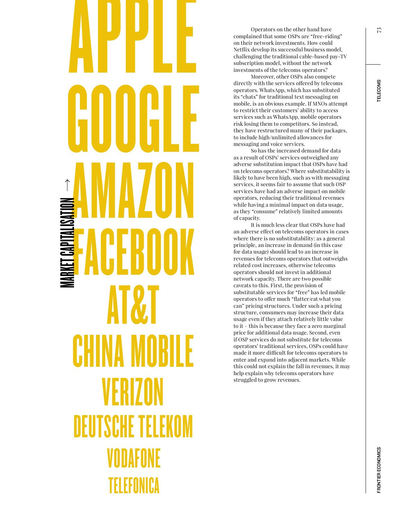## TELEFONICA VODAFONE DEUTSCHE TELEKOM VERIZON CHINA MOBILE AT&T FACEBOOK AMAZON GOOGLE APPLE MARKET CAPITALISATION

Operators on the other hand have complained that some OSPs are "free-riding" on their network investments. How could Netflix develop its successful business model, challenging the traditional cable-based pay-TV subscription model, without the network investments of the telecoms operators?

Moreover, other OSPs also compete directly with the services offered by telecoms operators. WhatsApp, which has substituted its "chats" for traditional text messaging on mobile, is an obvious example. If MNOs attempt to restrict their customers' ability to access services such as WhatsApp, mobile operators risk losing them to competitors. So instead, they have restructured many of their packages, to include high/unlimited allowances for messaging and voice services.

So has the increased demand for data as a result of OSPs' services outweighed any adverse substitution impact that OSPs have had on telecoms operators? Where substitutability is likely to have been high, such as with messaging services, it seems fair to assume that such OSP services have had an adverse impact on mobile operators, reducing their traditional revenues while having a minimal impact on data usage, as they "consume" relatively limited amounts of capacity.

It is much less clear that OSPs have had an adverse effect on telecoms operators in cases where there is no substitutability: as a general principle, an increase in demand (in this case for data usage) should lead to an increase in revenues for telecoms operators that outweighs related cost increases, otherwise telecoms operators should not invest in additional network capacity. There are two possible caveats to this. First, the provision of substitutable services for "free" has led mobile operators to offer much "flatter/eat what you can" pricing structures. Under such a pricing structure, consumers may increase their data usage even if they attach relatively little value to it – this is because they face a zero marginal price for additional data usage. Second, even if OSP services do not substitute for telecoms operators' traditional services, OSPs could have made it more difficult for telecoms operators to enter and expand into adjacent markets. While this could not explain the fall in revenues, it may help explain why telecoms operators have struggled to grow revenues.

**TELECOMS**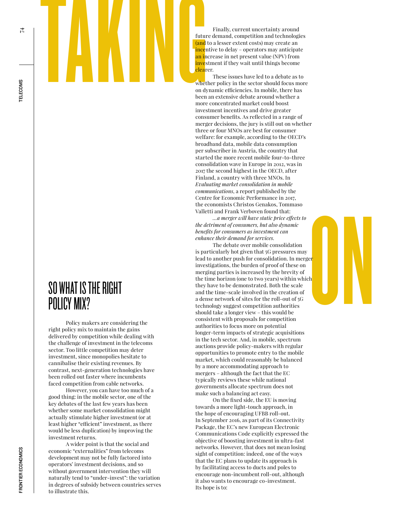These issues have led to a debate as to whether policy in the sector should focus more on dynamic efficiencies. In mobile, there has been an extensive debate around whether a more concentrated market could boost investment incentives and drive greater consumer benefits. As reflected in a range of merger decisions, the jury is still out on whether three or four MNOs are best for consumer welfare: for example, according to the OECD's broadband data, mobile data consumption per subscriber in Austria, the country that started the more recent mobile four-to-three consolidation wave in Europe in 2012, was in 2017 the second highest in the OECD, after Finland, a country with three MNOs. In *Evaluating market consolidation in mobile communications*, a report published by the Centre for Economic Performance in 2017, the economists Christos Genakos, Tommaso Valletti and Frank Verboven found that:

*…a merger will have static price effects to the detriment of consumers, but also dynamic benefits for consumers as investment can enhance their demand for services.*

Contract of the conomists Christos Genakos, Tommaso<br>
the cconomists Christos Genakos, Tommaso<br>
Valletti and Frank Verboven found that:<br> *A carrege call have state price figtes to*<br> *bte deriment of consumers is investment* The debate over mobile consolidation is particularly hot given that 5G pressures may lead to another push for consolidation. In merger investigations, the burden of proof of these on merging parties is increased by the brevity of the time horizon (one to two years) within which they have to be demonstrated. Both the scale and the time-scale involved in the creation of a dense network of sites for the roll-out of 5G technology suggest competition authorities should take a longer view – this would be consistent with proposals for competition authorities to focus more on potential longer-term impacts of strategic acquisitions in the tech sector. And, in mobile, spectrum auctions provide policy-makers with regular opportunities to promote entry to the mobile market, which could reasonably be balanced by a more accommodating approach to mergers – although the fact that the EC typically reviews these while national governments allocate spectrum does not make such a balancing act easy.

> On the fixed side, the EU is moving towards a more light-touch approach, in the hope of encouraging UFBB roll-out. In September 2016, as part of its Connectivity Package, the EC's new European Electronic Communications Code explicitly expressed the objective of boosting investment in ultra-fast networks. However, that does not mean losing sight of competition: indeed, one of the ways that the EC plans to update its approach is by facilitating access to ducts and poles to encourage non-incumbent roll-out, although it also wants to encourage co-investment. Its hope is to:

SO WHAT IS THE RIGHT<br>POLICY MIX?

Policy makers are considering the right policy mix to maintain the gains delivered by competition while dealing with the challenge of investment in the telecoms sector. Too little competition may deter investment, since monopolies hesitate to cannibalise their existing revenues. By contrast, next-generation technologies have been rolled out faster where incumbents faced competition from cable networks.

However, you can have too much of a good thing: in the mobile sector, one of the key debates of the last few years has been whether some market consolidation might actually stimulate higher investment (or at least higher "efficient" investment, as there would be less duplication) by improving the investment returns.

A wider point is that the social and economic "externalities" from telecoms development may not be fully factored into operators' investment decisions, and so without government intervention they will naturally tend to "under-invest": the variation in degrees of subsidy between countries serves to illustrate this.

才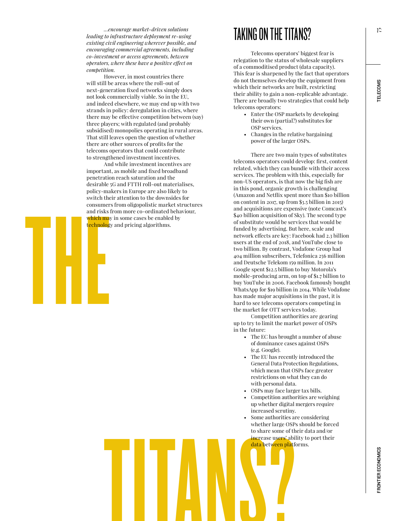*…encourage market-driven solutions leading to infrastructure deployment re-using existing civil engineering wherever possible, and encouraging commercial agreements, including co-investment or access agreements, between operators, where these have a positive effect on competition.*

However, in most countries there will still be areas where the roll-out of next-generation fixed networks simply does not look commercially viable. So in the EU, and indeed elsewhere, we may end up with two strands in policy: deregulation in cities, where there may be effective competition between (say) three players; with regulated (and probably subsidised) monopolies operating in rural areas. That still leaves open the question of whether there are other sources of profits for the telecoms operators that could contribute to strengthened investment incentives.

switch the<br>consumer<br>and risks<br>which may<br>technology<br>consumer<br>consumer And while investment incentives are important, as mobile and fixed broadband penetration reach saturation and the desirable 5G and FTTH roll-out materialises, policy-makers in Europe are also likely to switch their attention to the downsides for consumers from oligopolistic market structures and risks from more co-ordinated behaviour, which may in some cases be enabled by technology and pricing algorithms.

#### TAKING ON THE TITANS?

Telecoms operators' biggest fear is relegation to the status of wholesale suppliers of a commoditised product (data capacity). This fear is sharpened by the fact that operators do not themselves develop the equipment from which their networks are built, restricting their ability to gain a non-replicable advantage. There are broadly two strategies that could help telecoms operators:

- Enter the OSP markets by developing their own (partial?) substitutes for OSP services.
- Changes in the relative bargaining power of the larger OSPs.

There are two main types of substitutes telecoms operators could develop: first, content related, which they can bundle with their access services. The problem with this, especially for non-US operators, is that now the big fish are in this pond, organic growth is challenging (Amazon and Netflix spent more than \$10 billion on content in 2017, up from \$3.5 billion in 2015) and acquisitions are expensive (note Comcast's \$40 billion acquisition of Sky). The second type of substitute would be services that would be funded by advertising. But here, scale and network effects are key: Facebook had 2.3 billion users at the end of 2018, and YouTube close to two billion. By contrast, Vodafone Group had 404 million subscribers, Telefonica 256 million and Deutsche Telekom 159 million. In 2011 Google spent \$12.5 billion to buy Motorola's mobile-producing arm, on top of \$1.7 billion to buy YouTube in 2006. Facebook famously bought WhatsApp for \$19 billion in 2014. While Vodafone has made major acquisitions in the past, it is hard to see telecoms operators competing in the market for OTT services today.

Competition authorities are gearing up to try to limit the market power of OSPs in the future:

- The EC has brought a number of abuse of dominance cases against OSPs (e.g. Google).
- The EU has recently introduced the General Data Protection Regulations, which mean that OSPs face greater restrictions on what they can do with personal data.
- OSPs may face larger tax bills.
- Competition authorities are weighing up whether digital mergers require increased scrutiny.
- whether large OSPs sho<br>to share some of their d<br>increase users' ability to<br>data between platforms<br>data between platforms<br>data between platforms<br>data between platforms Some authorities are considering whether large OSPs should be forced to share some of their data and/or increase users' ability to port their data between platforms.